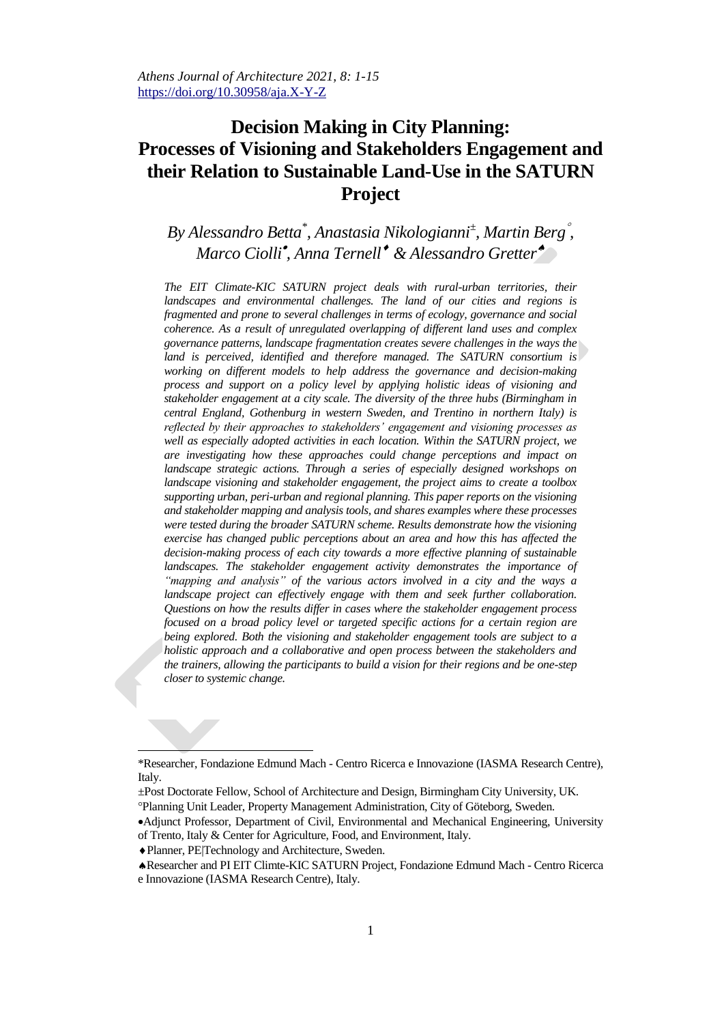*Athens Journal of Architecture 2021, 8: 1-15* <https://doi.org/10.30958/aja.X-Y-Z>

# **Decision Making in City Planning: Processes of Visioning and Stakeholders Engagement and their Relation to Sustainable Land-Use in the SATURN Project**

## *By Alessandro Betta\* , Anastasia Nikologianni<sup>±</sup> , Martin Berg , Marco Ciolli , Anna Ternell & Alessandro Gretter*

*The EIT Climate-KIC SATURN project deals with rural-urban territories, their landscapes and environmental challenges. The land of our cities and regions is fragmented and prone to several challenges in terms of ecology, governance and social coherence. As a result of unregulated overlapping of different land uses and complex governance patterns, landscape fragmentation creates severe challenges in the ways the land is perceived, identified and therefore managed. The SATURN consortium is working on different models to help address the governance and decision-making process and support on a policy level by applying holistic ideas of visioning and stakeholder engagement at a city scale. The diversity of the three hubs (Birmingham in central England, Gothenburg in western Sweden, and Trentino in northern Italy) is reflected by their approaches to stakeholders' engagement and visioning processes as well as especially adopted activities in each location. Within the SATURN project, we are investigating how these approaches could change perceptions and impact on landscape strategic actions. Through a series of especially designed workshops on landscape visioning and stakeholder engagement, the project aims to create a toolbox supporting urban, peri-urban and regional planning. This paper reports on the visioning and stakeholder mapping and analysis tools, and shares examples where these processes were tested during the broader SATURN scheme. Results demonstrate how the visioning exercise has changed public perceptions about an area and how this has affected the decision-making process of each city towards a more effective planning of sustainable landscapes. The stakeholder engagement activity demonstrates the importance of "mapping and analysis" of the various actors involved in a city and the ways a landscape project can effectively engage with them and seek further collaboration. Questions on how the results differ in cases where the stakeholder engagement process focused on a broad policy level or targeted specific actions for a certain region are being explored. Both the visioning and stakeholder engagement tools are subject to a holistic approach and a collaborative and open process between the stakeholders and the trainers, allowing the participants to build a vision for their regions and be one-step closer to systemic change.*

<sup>\*</sup>Researcher, Fondazione Edmund Mach - Centro Ricerca e Innovazione (IASMA Research Centre), Italy.

<sup>±</sup>Post Doctorate Fellow, School of Architecture and Design, Birmingham City University, UK.

Planning Unit Leader, Property Management Administration, City of Göteborg, Sweden.

Adjunct Professor, Department of Civil, Environmental and Mechanical Engineering, University of Trento, Italy & Center for Agriculture, Food, and Environment, Italy.

Planner, PE|Technology and Architecture, Sweden.

Researcher and PI EIT Climte-KIC SATURN Project, Fondazione Edmund Mach - Centro Ricerca e Innovazione (IASMA Research Centre), Italy.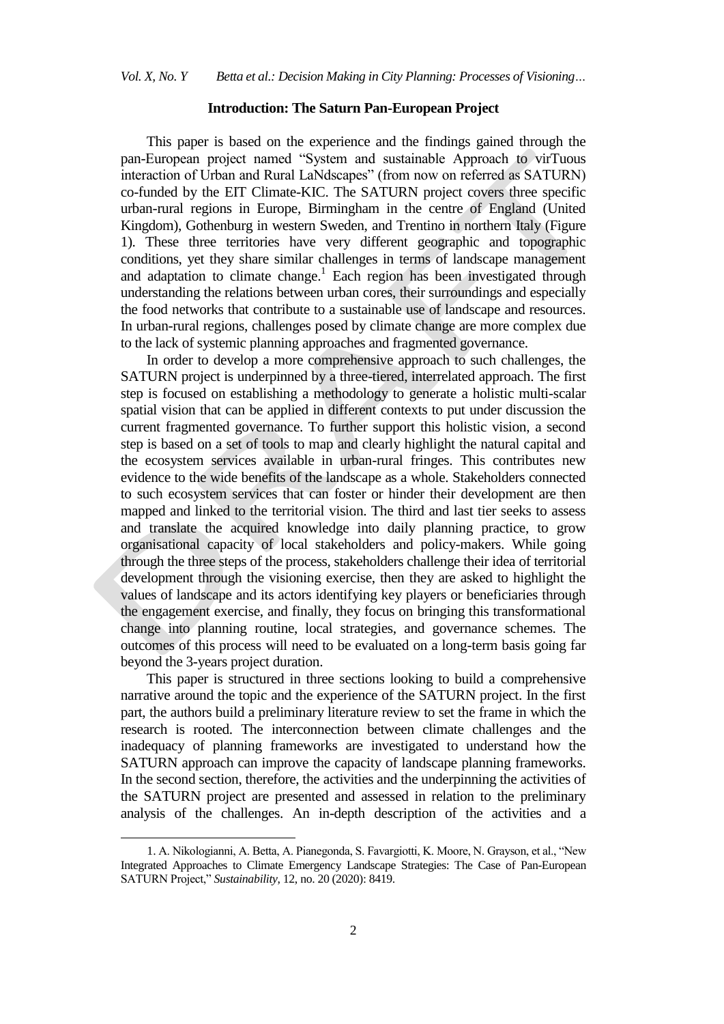## **Introduction: The Saturn Pan-European Project**

This paper is based on the experience and the findings gained through the pan-European project named "System and sustainable Approach to virTuous interaction of Urban and Rural LaNdscapes" (from now on referred as SATURN) co-funded by the EIT Climate-KIC. The SATURN project covers three specific urban-rural regions in Europe, Birmingham in the centre of England (United Kingdom), Gothenburg in western Sweden, and Trentino in northern Italy (Figure 1). These three territories have very different geographic and topographic conditions, yet they share similar challenges in terms of landscape management and adaptation to climate change. 1 Each region has been investigated through understanding the relations between urban cores, their surroundings and especially the food networks that contribute to a sustainable use of landscape and resources. In urban-rural regions, challenges posed by climate change are more complex due to the lack of systemic planning approaches and fragmented governance.

In order to develop a more comprehensive approach to such challenges, the SATURN project is underpinned by a three-tiered, interrelated approach. The first step is focused on establishing a methodology to generate a holistic multi-scalar spatial vision that can be applied in different contexts to put under discussion the current fragmented governance. To further support this holistic vision, a second step is based on a set of tools to map and clearly highlight the natural capital and the ecosystem services available in urban-rural fringes. This contributes new evidence to the wide benefits of the landscape as a whole. Stakeholders connected to such ecosystem services that can foster or hinder their development are then mapped and linked to the territorial vision. The third and last tier seeks to assess and translate the acquired knowledge into daily planning practice, to grow organisational capacity of local stakeholders and policy-makers. While going through the three steps of the process, stakeholders challenge their idea of territorial development through the visioning exercise, then they are asked to highlight the values of landscape and its actors identifying key players or beneficiaries through the engagement exercise, and finally, they focus on bringing this transformational change into planning routine, local strategies, and governance schemes. The outcomes of this process will need to be evaluated on a long-term basis going far beyond the 3-years project duration.

This paper is structured in three sections looking to build a comprehensive narrative around the topic and the experience of the SATURN project. In the first part, the authors build a preliminary literature review to set the frame in which the research is rooted. The interconnection between climate challenges and the inadequacy of planning frameworks are investigated to understand how the SATURN approach can improve the capacity of landscape planning frameworks. In the second section, therefore, the activities and the underpinning the activities of the SATURN project are presented and assessed in relation to the preliminary analysis of the challenges. An in-depth description of the activities and a

<sup>1.</sup> A. Nikologianni, A. Betta, A. Pianegonda, S. Favargiotti, K. Moore, N. Grayson, et al., "New Integrated Approaches to Climate Emergency Landscape Strategies: The Case of Pan-European SATURN Project," *Sustainability*, 12, no. 20 (2020): 8419.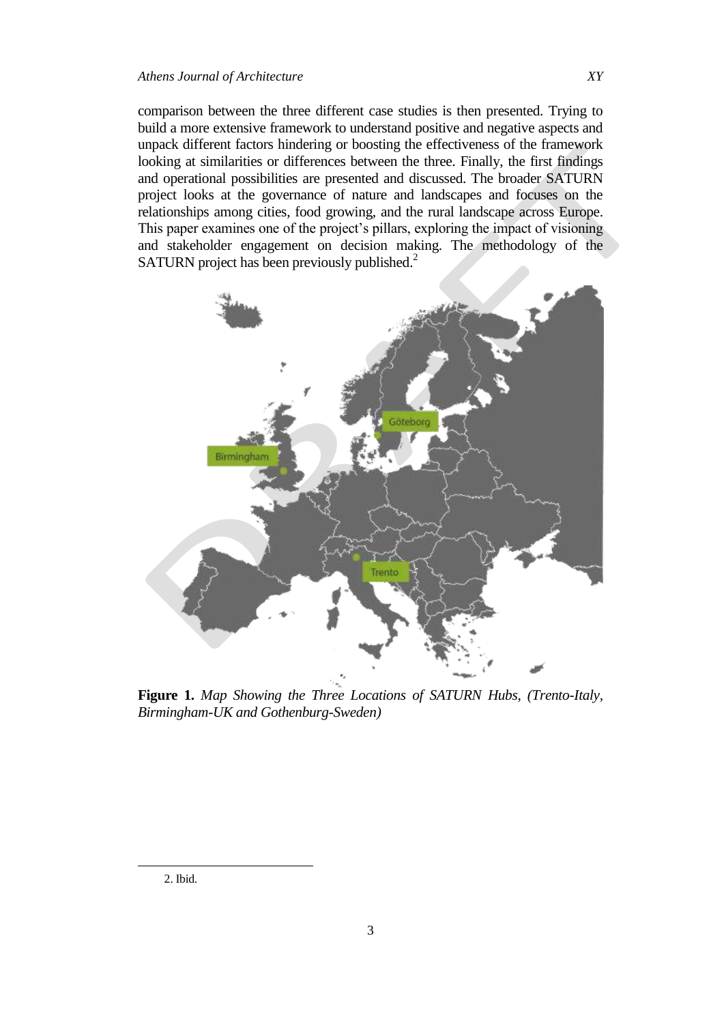comparison between the three different case studies is then presented. Trying to build a more extensive framework to understand positive and negative aspects and unpack different factors hindering or boosting the effectiveness of the framework looking at similarities or differences between the three. Finally, the first findings and operational possibilities are presented and discussed. The broader SATURN project looks at the governance of nature and landscapes and focuses on the relationships among cities, food growing, and the rural landscape across Europe. This paper examines one of the project's pillars, exploring the impact of visioning and stakeholder engagement on decision making. The methodology of the SATURN project has been previously published.<sup>2</sup>



**Figure 1.** *Map Showing the Three Locations of SATURN Hubs, (Trento-Italy, Birmingham-UK and Gothenburg-Sweden)*

 $\overline{a}$ 

<sup>2.</sup> Ibid.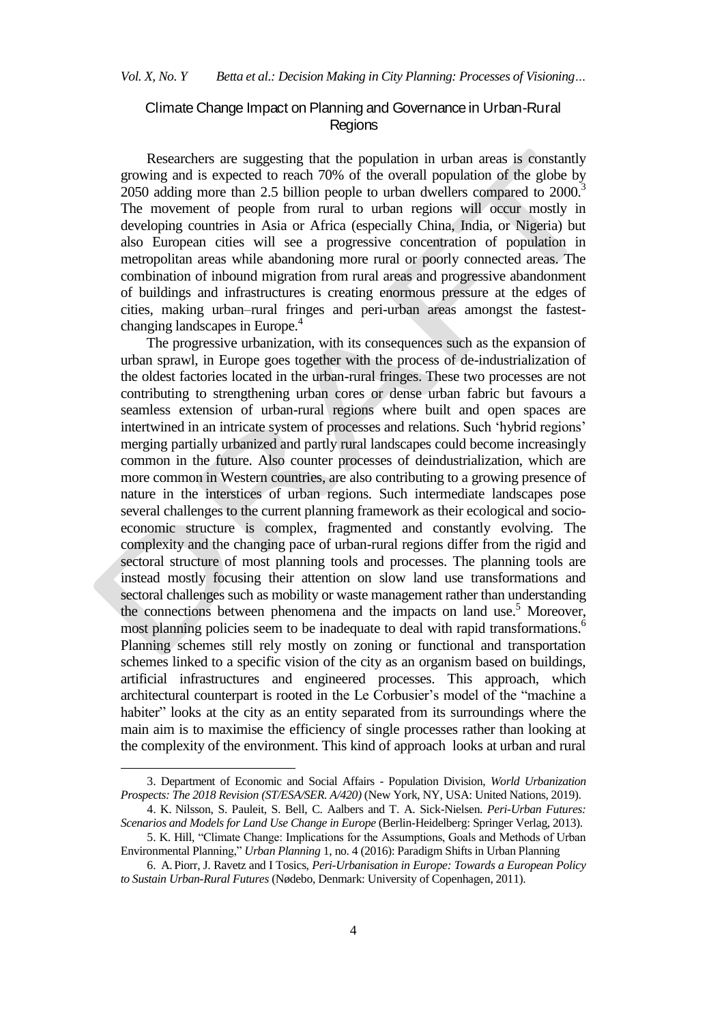## Climate Change Impact on Planning and Governance in Urban-Rural Regions

Researchers are suggesting that the population in urban areas is constantly growing and is expected to reach 70% of the overall population of the globe by 2050 adding more than 2.5 billion people to urban dwellers compared to 2000.<sup>3</sup> The movement of people from rural to urban regions will occur mostly in developing countries in Asia or Africa (especially China, India, or Nigeria) but also European cities will see a progressive concentration of population in metropolitan areas while abandoning more rural or poorly connected areas. The combination of inbound migration from rural areas and progressive abandonment of buildings and infrastructures is creating enormous pressure at the edges of cities, making urban–rural fringes and peri-urban areas amongst the fastestchanging landscapes in Europe. 4

The progressive urbanization, with its consequences such as the expansion of urban sprawl, in Europe goes together with the process of de-industrialization of the oldest factories located in the urban-rural fringes. These two processes are not contributing to strengthening urban cores or dense urban fabric but favours a seamless extension of urban-rural regions where built and open spaces are intertwined in an intricate system of processes and relations. Such 'hybrid regions' merging partially urbanized and partly rural landscapes could become increasingly common in the future. Also counter processes of deindustrialization, which are more common in Western countries, are also contributing to a growing presence of nature in the interstices of urban regions. Such intermediate landscapes pose several challenges to the current planning framework as their ecological and socioeconomic structure is complex, fragmented and constantly evolving. The complexity and the changing pace of urban-rural regions differ from the rigid and sectoral structure of most planning tools and processes. The planning tools are instead mostly focusing their attention on slow land use transformations and sectoral challenges such as mobility or waste management rather than understanding the connections between phenomena and the impacts on land use.<sup>5</sup> Moreover, most planning policies seem to be inadequate to deal with rapid transformations.<sup>6</sup> Planning schemes still rely mostly on zoning or functional and transportation schemes linked to a specific vision of the city as an organism based on buildings, artificial infrastructures and engineered processes. This approach, which architectural counterpart is rooted in the Le Corbusier"s model of the "machine a habiter" looks at the city as an entity separated from its surroundings where the main aim is to maximise the efficiency of single processes rather than looking at the complexity of the environment. This kind of approach looks at urban and rural

 $\overline{a}$ 

<sup>3.</sup> Department of Economic and Social Affairs - Population Division, *World Urbanization Prospects: The 2018 Revision (ST/ESA/SER. A/420)* (New York, NY, USA: United Nations, 2019).

<sup>4.</sup> K. Nilsson, S. Pauleit, S. Bell, C. Aalbers and T. A. Sick-Nielsen. *Peri-Urban Futures: Scenarios and Models for Land Use Change in Europe* (Berlin-Heidelberg: Springer Verlag, 2013).

<sup>5.</sup> K. Hill, "Climate Change: Implications for the Assumptions, Goals and Methods of Urban Environmental Planning," *Urban Planning* 1, no. 4 (2016): Paradigm Shifts in Urban Planning

<sup>6.</sup> A. Piorr, J. Ravetz and I Tosics, *Peri-Urbanisation in Europe: Towards a European Policy to Sustain Urban-Rural Futures* (Nødebo, Denmark: University of Copenhagen, 2011).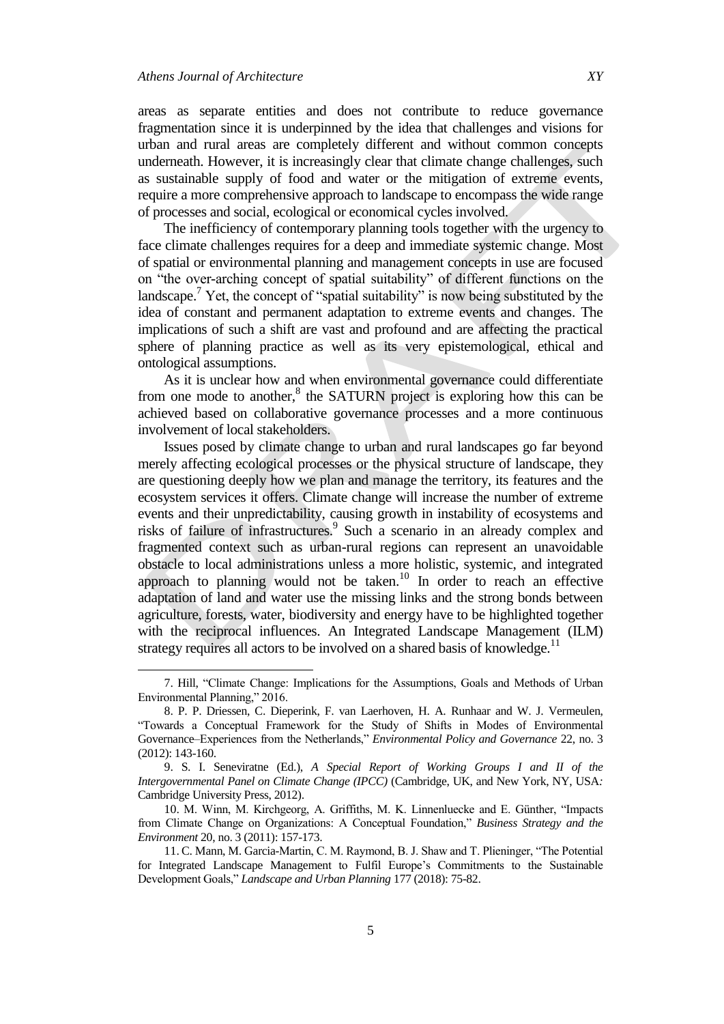areas as separate entities and does not contribute to reduce governance fragmentation since it is underpinned by the idea that challenges and visions for urban and rural areas are completely different and without common concepts underneath. However, it is increasingly clear that climate change challenges, such as sustainable supply of food and water or the mitigation of extreme events, require a more comprehensive approach to landscape to encompass the wide range of processes and social, ecological or economical cycles involved.

The inefficiency of contemporary planning tools together with the urgency to face climate challenges requires for a deep and immediate systemic change. Most of spatial or environmental planning and management concepts in use are focused on "the over-arching concept of spatial suitability" of different functions on the landscape.<sup>7</sup> Yet, the concept of "spatial suitability" is now being substituted by the idea of constant and permanent adaptation to extreme events and changes. The implications of such a shift are vast and profound and are affecting the practical sphere of planning practice as well as its very epistemological, ethical and ontological assumptions.

As it is unclear how and when environmental governance could differentiate from one mode to another,<sup>8</sup> the SATURN project is exploring how this can be achieved based on collaborative governance processes and a more continuous involvement of local stakeholders.

Issues posed by climate change to urban and rural landscapes go far beyond merely affecting ecological processes or the physical structure of landscape, they are questioning deeply how we plan and manage the territory, its features and the ecosystem services it offers. Climate change will increase the number of extreme events and their unpredictability, causing growth in instability of ecosystems and risks of failure of infrastructures. 9 Such a scenario in an already complex and fragmented context such as urban-rural regions can represent an unavoidable obstacle to local administrations unless a more holistic, systemic, and integrated approach to planning would not be taken. <sup>10</sup> In order to reach an effective adaptation of land and water use the missing links and the strong bonds between agriculture, forests, water, biodiversity and energy have to be highlighted together with the reciprocal influences. An Integrated Landscape Management (ILM) strategy requires all actors to be involved on a shared basis of knowledge.<sup>11</sup>

<sup>7.</sup> Hill, "Climate Change: Implications for the Assumptions, Goals and Methods of Urban Environmental Planning," 2016.

<sup>8.</sup> P. P. Driessen, C. Dieperink, F. van Laerhoven, H. A. Runhaar and W. J. Vermeulen, "Towards a Conceptual Framework for the Study of Shifts in Modes of Environmental Governance–Experiences from the Netherlands," *Environmental Policy and Governance* 22, no. 3 (2012): 143-160.

<sup>9.</sup> S. I. Seneviratne (Ed.), *A Special Report of Working Groups I and II of the Intergovernmental Panel on Climate Change (IPCC)* (Cambridge, UK, and New York, NY, USA*:*  Cambridge University Press, 2012).

<sup>10.</sup> M. Winn, M. Kirchgeorg, A. Griffiths, M. K. Linnenluecke and E. Günther, "Impacts from Climate Change on Organizations: A Conceptual Foundation," *Business Strategy and the Environment* 20, no. 3 (2011): 157-173.

<sup>11.</sup> C. Mann, M. Garcia-Martin, C. M. Raymond, B. J. Shaw and T. Plieninger, "The Potential for Integrated Landscape Management to Fulfil Europe"s Commitments to the Sustainable Development Goals," *Landscape and Urban Planning* 177 (2018): 75-82.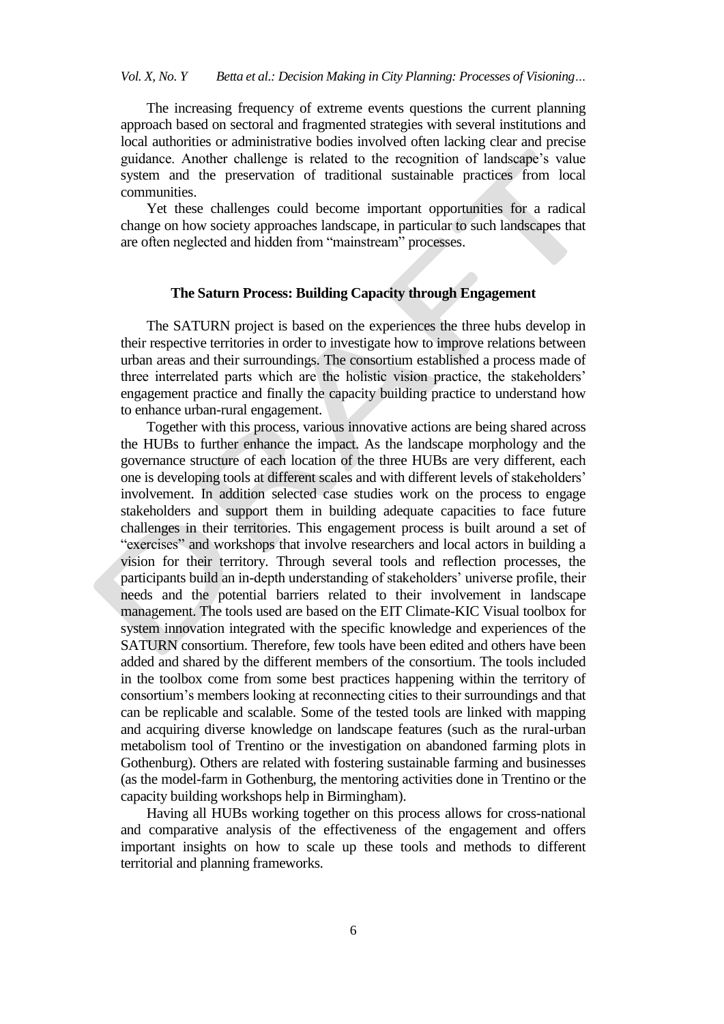The increasing frequency of extreme events questions the current planning approach based on sectoral and fragmented strategies with several institutions and local authorities or administrative bodies involved often lacking clear and precise guidance. Another challenge is related to the recognition of landscape"s value system and the preservation of traditional sustainable practices from local communities.

Yet these challenges could become important opportunities for a radical change on how society approaches landscape, in particular to such landscapes that are often neglected and hidden from "mainstream" processes.

## **The Saturn Process: Building Capacity through Engagement**

The SATURN project is based on the experiences the three hubs develop in their respective territories in order to investigate how to improve relations between urban areas and their surroundings. The consortium established a process made of three interrelated parts which are the holistic vision practice, the stakeholders" engagement practice and finally the capacity building practice to understand how to enhance urban-rural engagement.

Together with this process, various innovative actions are being shared across the HUBs to further enhance the impact. As the landscape morphology and the governance structure of each location of the three HUBs are very different, each one is developing tools at different scales and with different levels of stakeholders" involvement. In addition selected case studies work on the process to engage stakeholders and support them in building adequate capacities to face future challenges in their territories. This engagement process is built around a set of "exercises" and workshops that involve researchers and local actors in building a vision for their territory. Through several tools and reflection processes, the participants build an in-depth understanding of stakeholders' universe profile, their needs and the potential barriers related to their involvement in landscape management. The tools used are based on the EIT Climate-KIC Visual toolbox for system innovation integrated with the specific knowledge and experiences of the SATURN consortium. Therefore, few tools have been edited and others have been added and shared by the different members of the consortium. The tools included in the toolbox come from some best practices happening within the territory of consortium"s members looking at reconnecting cities to their surroundings and that can be replicable and scalable. Some of the tested tools are linked with mapping and acquiring diverse knowledge on landscape features (such as the rural-urban metabolism tool of Trentino or the investigation on abandoned farming plots in Gothenburg). Others are related with fostering sustainable farming and businesses (as the model-farm in Gothenburg, the mentoring activities done in Trentino or the capacity building workshops help in Birmingham).

Having all HUBs working together on this process allows for cross-national and comparative analysis of the effectiveness of the engagement and offers important insights on how to scale up these tools and methods to different territorial and planning frameworks.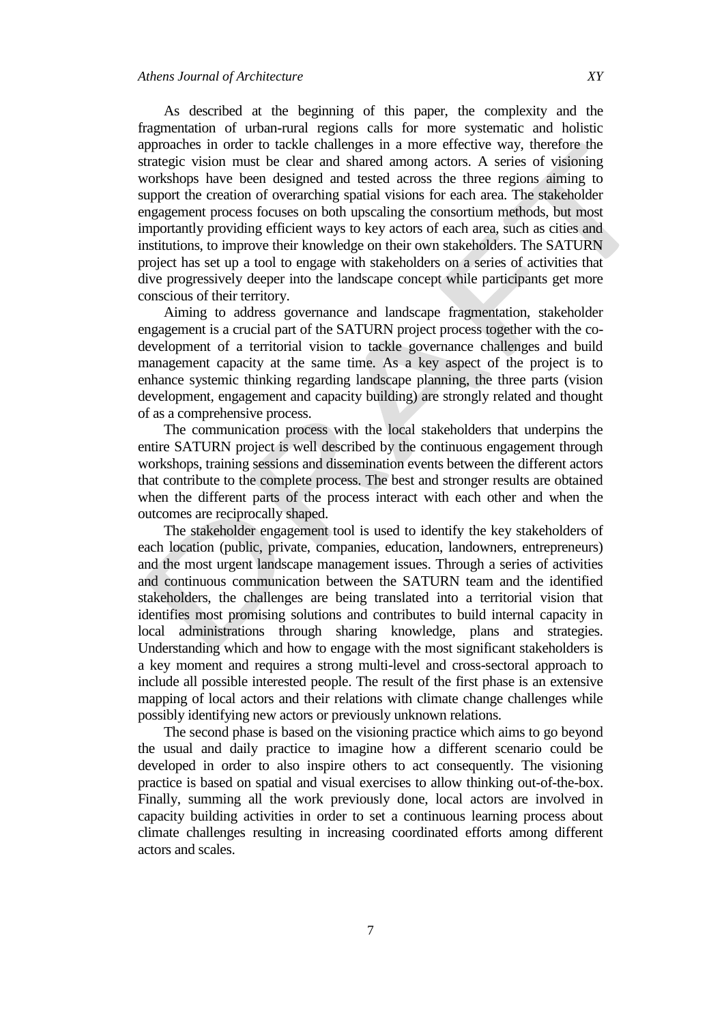As described at the beginning of this paper, the complexity and the fragmentation of urban-rural regions calls for more systematic and holistic approaches in order to tackle challenges in a more effective way, therefore the strategic vision must be clear and shared among actors. A series of visioning workshops have been designed and tested across the three regions aiming to support the creation of overarching spatial visions for each area. The stakeholder engagement process focuses on both upscaling the consortium methods, but most importantly providing efficient ways to key actors of each area, such as cities and institutions, to improve their knowledge on their own stakeholders. The SATURN project has set up a tool to engage with stakeholders on a series of activities that dive progressively deeper into the landscape concept while participants get more conscious of their territory.

Aiming to address governance and landscape fragmentation, stakeholder engagement is a crucial part of the SATURN project process together with the codevelopment of a territorial vision to tackle governance challenges and build management capacity at the same time. As a key aspect of the project is to enhance systemic thinking regarding landscape planning, the three parts (vision development, engagement and capacity building) are strongly related and thought of as a comprehensive process.

The communication process with the local stakeholders that underpins the entire SATURN project is well described by the continuous engagement through workshops, training sessions and dissemination events between the different actors that contribute to the complete process. The best and stronger results are obtained when the different parts of the process interact with each other and when the outcomes are reciprocally shaped.

The stakeholder engagement tool is used to identify the key stakeholders of each location (public, private, companies, education, landowners, entrepreneurs) and the most urgent landscape management issues. Through a series of activities and continuous communication between the SATURN team and the identified stakeholders, the challenges are being translated into a territorial vision that identifies most promising solutions and contributes to build internal capacity in local administrations through sharing knowledge, plans and strategies. Understanding which and how to engage with the most significant stakeholders is a key moment and requires a strong multi-level and cross-sectoral approach to include all possible interested people. The result of the first phase is an extensive mapping of local actors and their relations with climate change challenges while possibly identifying new actors or previously unknown relations.

The second phase is based on the visioning practice which aims to go beyond the usual and daily practice to imagine how a different scenario could be developed in order to also inspire others to act consequently. The visioning practice is based on spatial and visual exercises to allow thinking out-of-the-box. Finally, summing all the work previously done, local actors are involved in capacity building activities in order to set a continuous learning process about climate challenges resulting in increasing coordinated efforts among different actors and scales.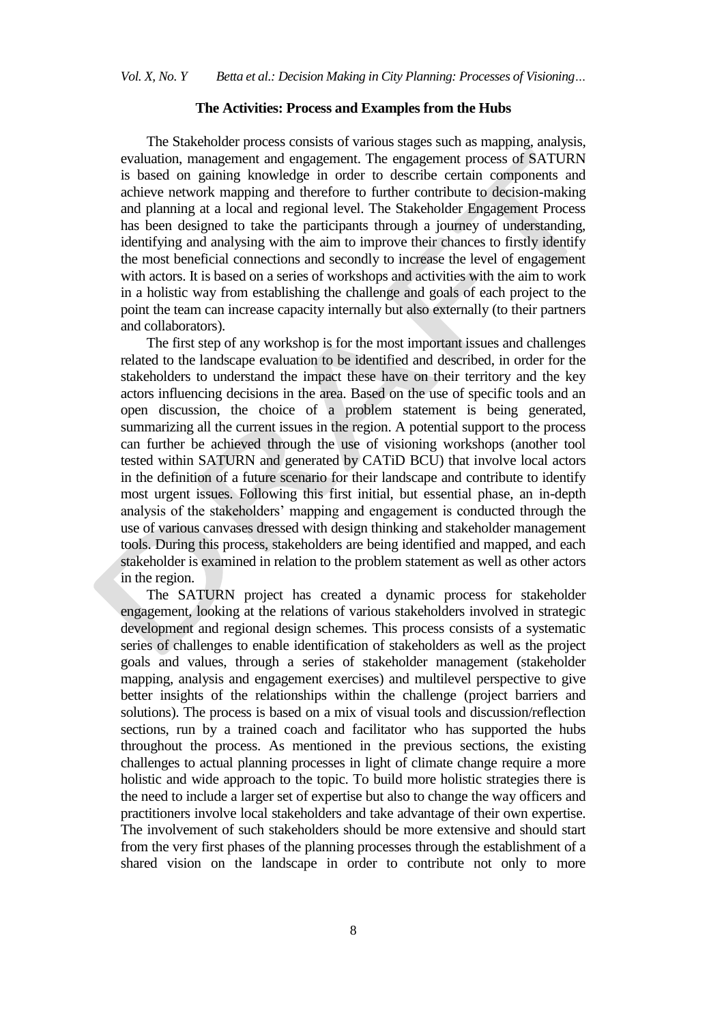#### **The Activities: Process and Examples from the Hubs**

The Stakeholder process consists of various stages such as mapping, analysis, evaluation, management and engagement. The engagement process of SATURN is based on gaining knowledge in order to describe certain components and achieve network mapping and therefore to further contribute to decision-making and planning at a local and regional level. The Stakeholder Engagement Process has been designed to take the participants through a journey of understanding, identifying and analysing with the aim to improve their chances to firstly identify the most beneficial connections and secondly to increase the level of engagement with actors. It is based on a series of workshops and activities with the aim to work in a holistic way from establishing the challenge and goals of each project to the point the team can increase capacity internally but also externally (to their partners and collaborators).

The first step of any workshop is for the most important issues and challenges related to the landscape evaluation to be identified and described, in order for the stakeholders to understand the impact these have on their territory and the key actors influencing decisions in the area. Based on the use of specific tools and an open discussion, the choice of a problem statement is being generated, summarizing all the current issues in the region. A potential support to the process can further be achieved through the use of visioning workshops (another tool tested within SATURN and generated by CATiD BCU) that involve local actors in the definition of a future scenario for their landscape and contribute to identify most urgent issues. Following this first initial, but essential phase, an in-depth analysis of the stakeholders" mapping and engagement is conducted through the use of various canvases dressed with design thinking and stakeholder management tools. During this process, stakeholders are being identified and mapped, and each stakeholder is examined in relation to the problem statement as well as other actors in the region.

The SATURN project has created a dynamic process for stakeholder engagement, looking at the relations of various stakeholders involved in strategic development and regional design schemes. This process consists of a systematic series of challenges to enable identification of stakeholders as well as the project goals and values, through a series of stakeholder management (stakeholder mapping, analysis and engagement exercises) and multilevel perspective to give better insights of the relationships within the challenge (project barriers and solutions). The process is based on a mix of visual tools and discussion/reflection sections, run by a trained coach and facilitator who has supported the hubs throughout the process. As mentioned in the previous sections, the existing challenges to actual planning processes in light of climate change require a more holistic and wide approach to the topic. To build more holistic strategies there is the need to include a larger set of expertise but also to change the way officers and practitioners involve local stakeholders and take advantage of their own expertise. The involvement of such stakeholders should be more extensive and should start from the very first phases of the planning processes through the establishment of a shared vision on the landscape in order to contribute not only to more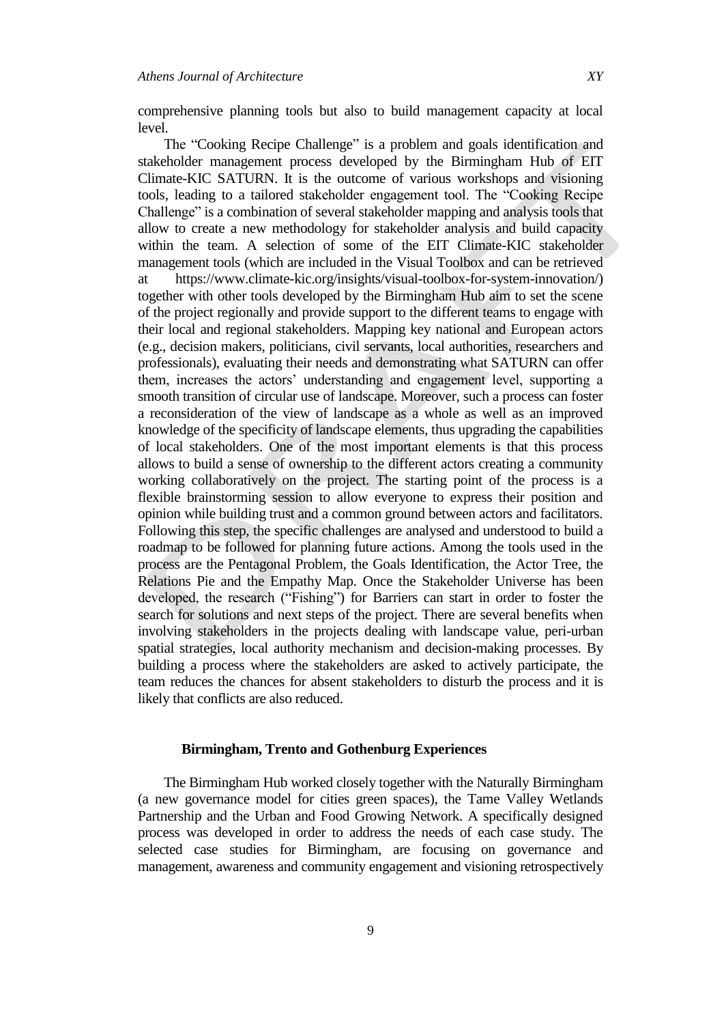comprehensive planning tools but also to build management capacity at local level.

The "Cooking Recipe Challenge" is a problem and goals identification and stakeholder management process developed by the Birmingham Hub of EIT Climate-KIC SATURN. It is the outcome of various workshops and visioning tools, leading to a tailored stakeholder engagement tool. The "Cooking Recipe Challenge" is a combination of several stakeholder mapping and analysis tools that allow to create a new methodology for stakeholder analysis and build capacity within the team. A selection of some of the EIT Climate-KIC stakeholder management tools (which are included in the Visual Toolbox and can be retrieved at https://www.climate-kic.org/insights/visual-toolbox-for-system-innovation/) together with other tools developed by the Birmingham Hub aim to set the scene of the project regionally and provide support to the different teams to engage with their local and regional stakeholders. Mapping key national and European actors (e.g., decision makers, politicians, civil servants, local authorities, researchers and professionals), evaluating their needs and demonstrating what SATURN can offer them, increases the actors" understanding and engagement level, supporting a smooth transition of circular use of landscape. Moreover, such a process can foster a reconsideration of the view of landscape as a whole as well as an improved knowledge of the specificity of landscape elements, thus upgrading the capabilities of local stakeholders. One of the most important elements is that this process allows to build a sense of ownership to the different actors creating a community working collaboratively on the project. The starting point of the process is a flexible brainstorming session to allow everyone to express their position and opinion while building trust and a common ground between actors and facilitators. Following this step, the specific challenges are analysed and understood to build a roadmap to be followed for planning future actions. Among the tools used in the process are the Pentagonal Problem, the Goals Identification, the Actor Tree, the Relations Pie and the Empathy Map. Once the Stakeholder Universe has been developed, the research ("Fishing") for Barriers can start in order to foster the search for solutions and next steps of the project. There are several benefits when involving stakeholders in the projects dealing with landscape value, peri-urban spatial strategies, local authority mechanism and decision-making processes. By building a process where the stakeholders are asked to actively participate, the team reduces the chances for absent stakeholders to disturb the process and it is likely that conflicts are also reduced.

#### **Birmingham, Trento and Gothenburg Experiences**

The Birmingham Hub worked closely together with the Naturally Birmingham (a new governance model for cities green spaces), the Tame Valley Wetlands Partnership and the Urban and Food Growing Network. A specifically designed process was developed in order to address the needs of each case study. The selected case studies for Birmingham, are focusing on governance and management, awareness and community engagement and visioning retrospectively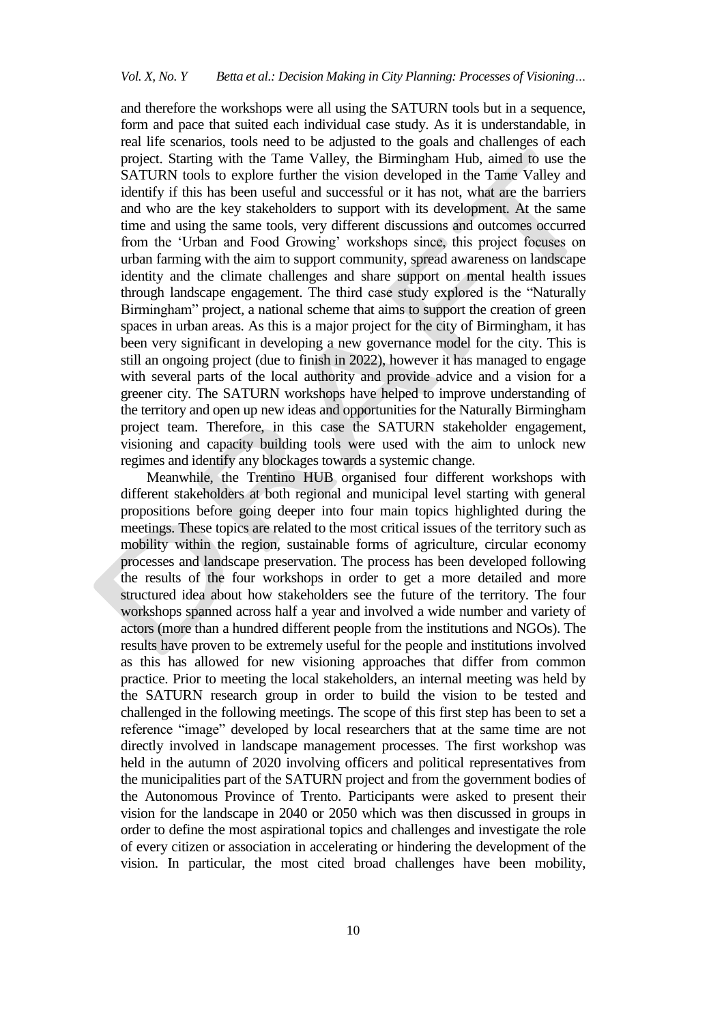and therefore the workshops were all using the SATURN tools but in a sequence, form and pace that suited each individual case study. As it is understandable, in real life scenarios, tools need to be adjusted to the goals and challenges of each project. Starting with the Tame Valley, the Birmingham Hub, aimed to use the SATURN tools to explore further the vision developed in the Tame Valley and identify if this has been useful and successful or it has not, what are the barriers and who are the key stakeholders to support with its development. At the same time and using the same tools, very different discussions and outcomes occurred from the "Urban and Food Growing" workshops since, this project focuses on urban farming with the aim to support community, spread awareness on landscape identity and the climate challenges and share support on mental health issues through landscape engagement. The third case study explored is the "Naturally Birmingham" project, a national scheme that aims to support the creation of green spaces in urban areas. As this is a major project for the city of Birmingham, it has been very significant in developing a new governance model for the city. This is still an ongoing project (due to finish in 2022), however it has managed to engage with several parts of the local authority and provide advice and a vision for a greener city. The SATURN workshops have helped to improve understanding of the territory and open up new ideas and opportunities for the Naturally Birmingham project team. Therefore, in this case the SATURN stakeholder engagement, visioning and capacity building tools were used with the aim to unlock new regimes and identify any blockages towards a systemic change.

Meanwhile, the Trentino HUB organised four different workshops with different stakeholders at both regional and municipal level starting with general propositions before going deeper into four main topics highlighted during the meetings. These topics are related to the most critical issues of the territory such as mobility within the region, sustainable forms of agriculture, circular economy processes and landscape preservation. The process has been developed following the results of the four workshops in order to get a more detailed and more structured idea about how stakeholders see the future of the territory. The four workshops spanned across half a year and involved a wide number and variety of actors (more than a hundred different people from the institutions and NGOs). The results have proven to be extremely useful for the people and institutions involved as this has allowed for new visioning approaches that differ from common practice. Prior to meeting the local stakeholders, an internal meeting was held by the SATURN research group in order to build the vision to be tested and challenged in the following meetings. The scope of this first step has been to set a reference "image" developed by local researchers that at the same time are not directly involved in landscape management processes. The first workshop was held in the autumn of 2020 involving officers and political representatives from the municipalities part of the SATURN project and from the government bodies of the Autonomous Province of Trento. Participants were asked to present their vision for the landscape in 2040 or 2050 which was then discussed in groups in order to define the most aspirational topics and challenges and investigate the role of every citizen or association in accelerating or hindering the development of the vision. In particular, the most cited broad challenges have been mobility,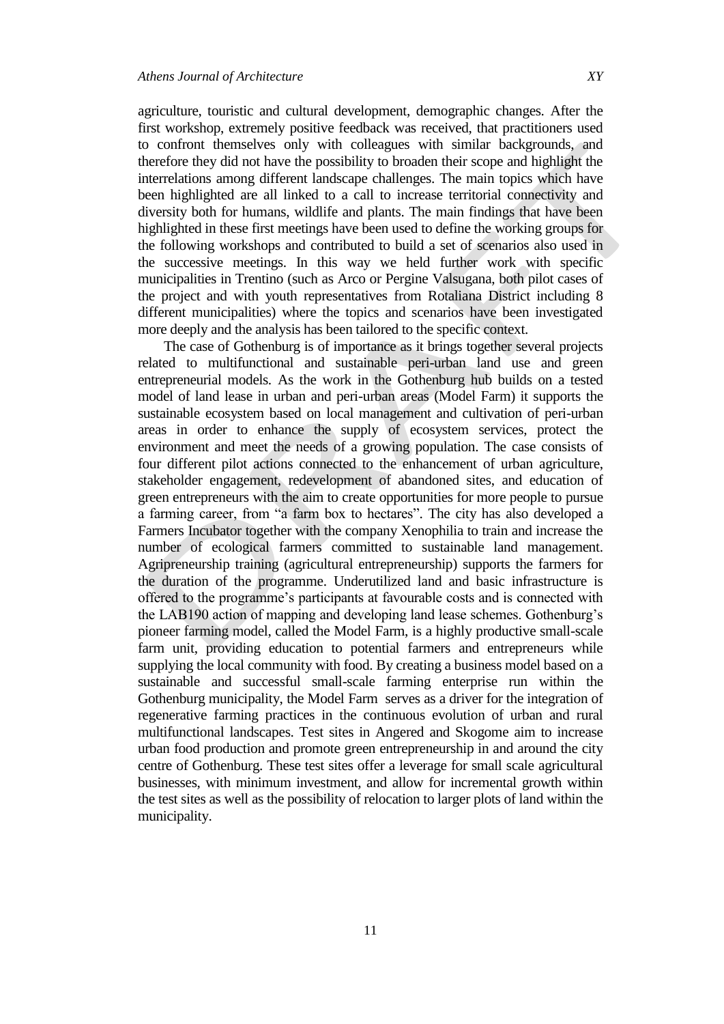agriculture, touristic and cultural development, demographic changes. After the first workshop, extremely positive feedback was received, that practitioners used to confront themselves only with colleagues with similar backgrounds, and therefore they did not have the possibility to broaden their scope and highlight the interrelations among different landscape challenges. The main topics which have been highlighted are all linked to a call to increase territorial connectivity and diversity both for humans, wildlife and plants. The main findings that have been highlighted in these first meetings have been used to define the working groups for the following workshops and contributed to build a set of scenarios also used in the successive meetings. In this way we held further work with specific municipalities in Trentino (such as Arco or Pergine Valsugana, both pilot cases of the project and with youth representatives from Rotaliana District including 8 different municipalities) where the topics and scenarios have been investigated more deeply and the analysis has been tailored to the specific context.

The case of Gothenburg is of importance as it brings together several projects related to multifunctional and sustainable peri-urban land use and green entrepreneurial models. As the work in the Gothenburg hub builds on a tested model of land lease in urban and peri-urban areas (Model Farm) it supports the sustainable ecosystem based on local management and cultivation of peri-urban areas in order to enhance the supply of ecosystem services, protect the environment and meet the needs of a growing population. The case consists of four different pilot actions connected to the enhancement of urban agriculture, stakeholder engagement, redevelopment of abandoned sites, and education of green entrepreneurs with the aim to create opportunities for more people to pursue a farming career, from "a farm box to hectares". The city has also developed a Farmers Incubator together with the company Xenophilia to train and increase the number of ecological farmers committed to sustainable land management. Agripreneurship training (agricultural entrepreneurship) supports the farmers for the duration of the programme. Underutilized land and basic infrastructure is offered to the programme"s participants at favourable costs and is connected with the LAB190 action of mapping and developing land lease schemes. Gothenburg"s pioneer farming model, called the Model Farm, is a highly productive small-scale farm unit, providing education to potential farmers and entrepreneurs while supplying the local community with food. By creating a business model based on a sustainable and successful small-scale farming enterprise run within the Gothenburg municipality, the Model Farm serves as a driver for the integration of regenerative farming practices in the continuous evolution of urban and rural multifunctional landscapes. Test sites in Angered and Skogome aim to increase urban food production and promote green entrepreneurship in and around the city centre of Gothenburg. These test sites offer a leverage for small scale agricultural businesses, with minimum investment, and allow for incremental growth within the test sites as well as the possibility of relocation to larger plots of land within the municipality.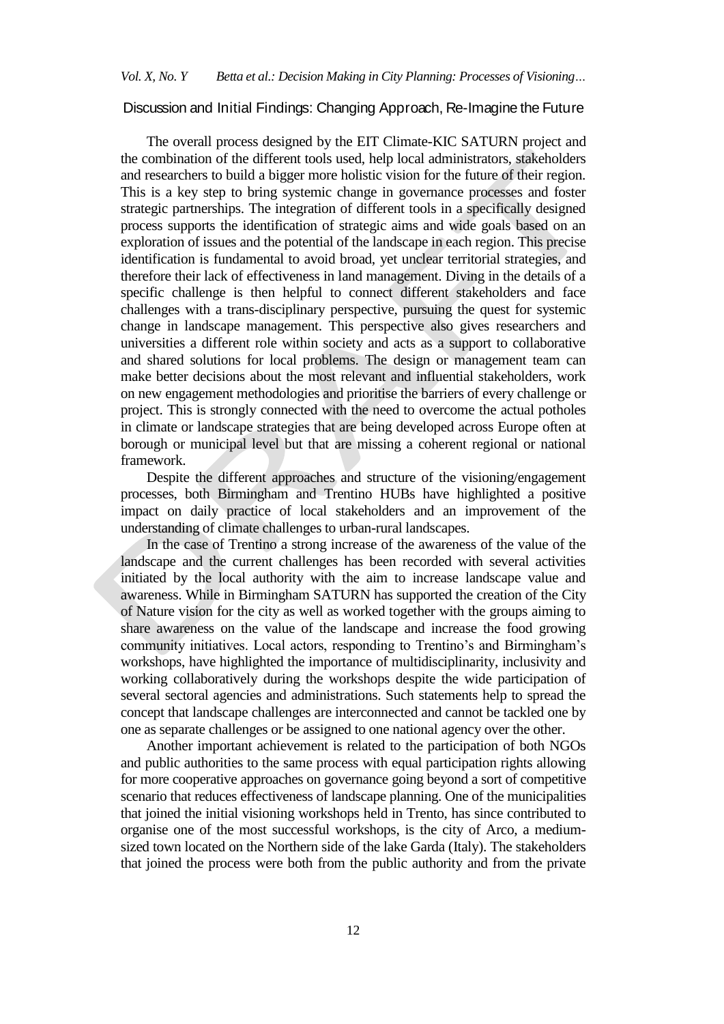#### Discussion and Initial Findings: Changing Approach, Re-Imagine the Future

The overall process designed by the EIT Climate-KIC SATURN project and the combination of the different tools used, help local administrators, stakeholders and researchers to build a bigger more holistic vision for the future of their region. This is a key step to bring systemic change in governance processes and foster strategic partnerships. The integration of different tools in a specifically designed process supports the identification of strategic aims and wide goals based on an exploration of issues and the potential of the landscape in each region. This precise identification is fundamental to avoid broad, yet unclear territorial strategies, and therefore their lack of effectiveness in land management. Diving in the details of a specific challenge is then helpful to connect different stakeholders and face challenges with a trans-disciplinary perspective, pursuing the quest for systemic change in landscape management. This perspective also gives researchers and universities a different role within society and acts as a support to collaborative and shared solutions for local problems. The design or management team can make better decisions about the most relevant and influential stakeholders, work on new engagement methodologies and prioritise the barriers of every challenge or project. This is strongly connected with the need to overcome the actual potholes in climate or landscape strategies that are being developed across Europe often at borough or municipal level but that are missing a coherent regional or national framework.

Despite the different approaches and structure of the visioning/engagement processes, both Birmingham and Trentino HUBs have highlighted a positive impact on daily practice of local stakeholders and an improvement of the understanding of climate challenges to urban-rural landscapes.

In the case of Trentino a strong increase of the awareness of the value of the landscape and the current challenges has been recorded with several activities initiated by the local authority with the aim to increase landscape value and awareness. While in Birmingham SATURN has supported the creation of the City of Nature vision for the city as well as worked together with the groups aiming to share awareness on the value of the landscape and increase the food growing community initiatives. Local actors, responding to Trentino's and Birmingham's workshops, have highlighted the importance of multidisciplinarity, inclusivity and working collaboratively during the workshops despite the wide participation of several sectoral agencies and administrations. Such statements help to spread the concept that landscape challenges are interconnected and cannot be tackled one by one as separate challenges or be assigned to one national agency over the other.

Another important achievement is related to the participation of both NGOs and public authorities to the same process with equal participation rights allowing for more cooperative approaches on governance going beyond a sort of competitive scenario that reduces effectiveness of landscape planning. One of the municipalities that joined the initial visioning workshops held in Trento, has since contributed to organise one of the most successful workshops, is the city of Arco, a mediumsized town located on the Northern side of the lake Garda (Italy). The stakeholders that joined the process were both from the public authority and from the private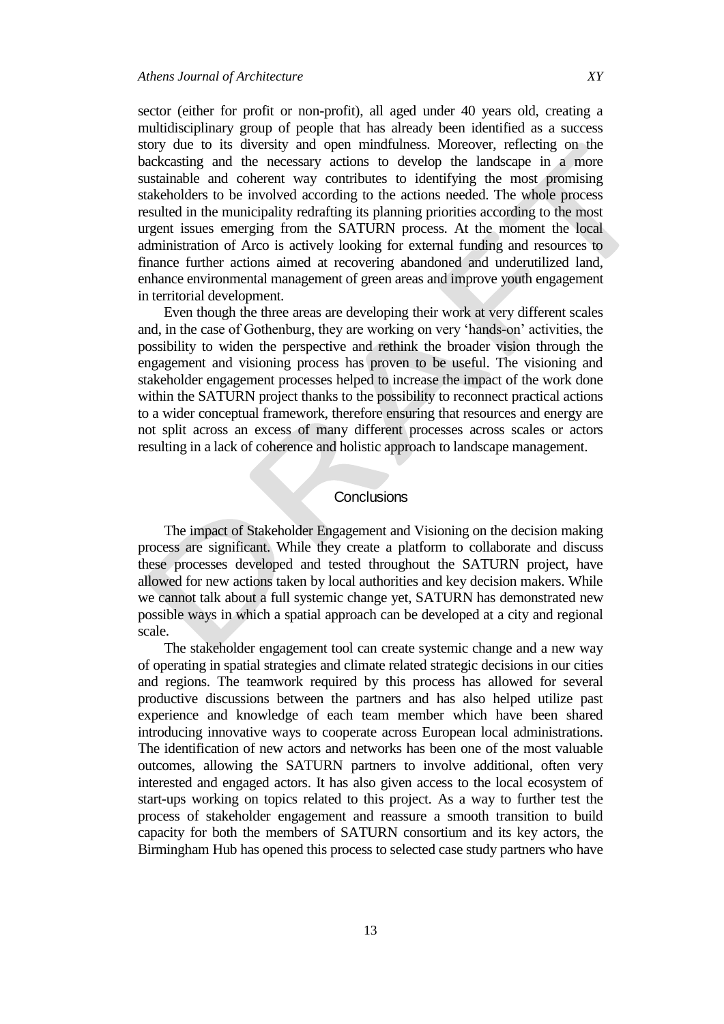sector (either for profit or non-profit), all aged under 40 years old, creating a multidisciplinary group of people that has already been identified as a success story due to its diversity and open mindfulness. Moreover, reflecting on the backcasting and the necessary actions to develop the landscape in a more sustainable and coherent way contributes to identifying the most promising stakeholders to be involved according to the actions needed. The whole process resulted in the municipality redrafting its planning priorities according to the most urgent issues emerging from the SATURN process. At the moment the local administration of Arco is actively looking for external funding and resources to finance further actions aimed at recovering abandoned and underutilized land, enhance environmental management of green areas and improve youth engagement in territorial development.

Even though the three areas are developing their work at very different scales and, in the case of Gothenburg, they are working on very "hands-on" activities, the possibility to widen the perspective and rethink the broader vision through the engagement and visioning process has proven to be useful. The visioning and stakeholder engagement processes helped to increase the impact of the work done within the SATURN project thanks to the possibility to reconnect practical actions to a wider conceptual framework, therefore ensuring that resources and energy are not split across an excess of many different processes across scales or actors resulting in a lack of coherence and holistic approach to landscape management.

#### **Conclusions**

The impact of Stakeholder Engagement and Visioning on the decision making process are significant. While they create a platform to collaborate and discuss these processes developed and tested throughout the SATURN project, have allowed for new actions taken by local authorities and key decision makers. While we cannot talk about a full systemic change yet, SATURN has demonstrated new possible ways in which a spatial approach can be developed at a city and regional scale.

The stakeholder engagement tool can create systemic change and a new way of operating in spatial strategies and climate related strategic decisions in our cities and regions. The teamwork required by this process has allowed for several productive discussions between the partners and has also helped utilize past experience and knowledge of each team member which have been shared introducing innovative ways to cooperate across European local administrations. The identification of new actors and networks has been one of the most valuable outcomes, allowing the SATURN partners to involve additional, often very interested and engaged actors. It has also given access to the local ecosystem of start-ups working on topics related to this project. As a way to further test the process of stakeholder engagement and reassure a smooth transition to build capacity for both the members of SATURN consortium and its key actors, the Birmingham Hub has opened this process to selected case study partners who have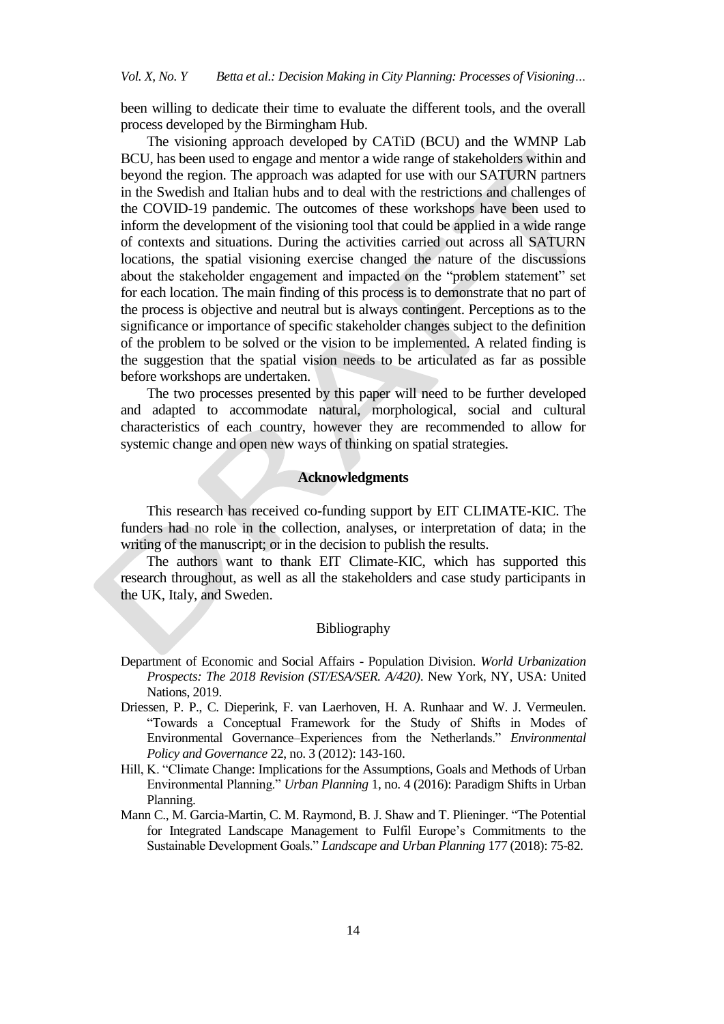been willing to dedicate their time to evaluate the different tools, and the overall process developed by the Birmingham Hub.

The visioning approach developed by CATiD (BCU) and the WMNP Lab BCU, has been used to engage and mentor a wide range of stakeholders within and beyond the region. The approach was adapted for use with our SATURN partners in the Swedish and Italian hubs and to deal with the restrictions and challenges of the COVID-19 pandemic. The outcomes of these workshops have been used to inform the development of the visioning tool that could be applied in a wide range of contexts and situations. During the activities carried out across all SATURN locations, the spatial visioning exercise changed the nature of the discussions about the stakeholder engagement and impacted on the "problem statement" set for each location. The main finding of this process is to demonstrate that no part of the process is objective and neutral but is always contingent. Perceptions as to the significance or importance of specific stakeholder changes subject to the definition of the problem to be solved or the vision to be implemented. A related finding is the suggestion that the spatial vision needs to be articulated as far as possible before workshops are undertaken.

The two processes presented by this paper will need to be further developed and adapted to accommodate natural, morphological, social and cultural characteristics of each country, however they are recommended to allow for systemic change and open new ways of thinking on spatial strategies.

## **Acknowledgments**

This research has received co-funding support by EIT CLIMATE-KIC. The funders had no role in the collection, analyses, or interpretation of data; in the writing of the manuscript; or in the decision to publish the results.

The authors want to thank EIT Climate-KIC, which has supported this research throughout, as well as all the stakeholders and case study participants in the UK, Italy, and Sweden.

#### Bibliography

- Department of Economic and Social Affairs Population Division. *World Urbanization Prospects: The 2018 Revision (ST/ESA/SER. A/420)*. New York, NY, USA: United Nations, 2019.
- Driessen, P. P., C. Dieperink, F. van Laerhoven, H. A. Runhaar and W. J. Vermeulen. "Towards a Conceptual Framework for the Study of Shifts in Modes of Environmental Governance–Experiences from the Netherlands." *Environmental Policy and Governance* 22, no. 3 (2012): 143-160.
- Hill, K. "Climate Change: Implications for the Assumptions, Goals and Methods of Urban Environmental Planning." *Urban Planning* 1, no. 4 (2016): Paradigm Shifts in Urban Planning.
- Mann C., M. Garcia-Martin, C. M. Raymond, B. J. Shaw and T. Plieninger. "The Potential for Integrated Landscape Management to Fulfil Europe"s Commitments to the Sustainable Development Goals." *Landscape and Urban Planning* 177 (2018): 75-82.